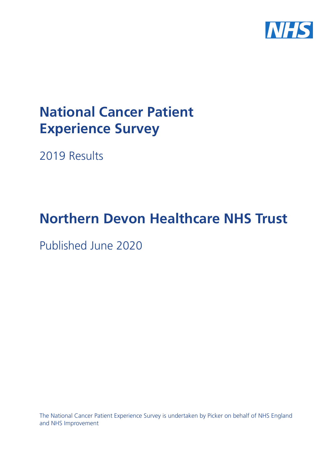

# **National Cancer Patient Experience Survey**

2019 Results

# **Northern Devon Healthcare NHS Trust**

Published June 2020

The National Cancer Patient Experience Survey is undertaken by Picker on behalf of NHS England and NHS Improvement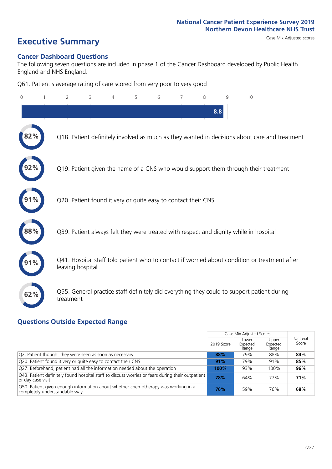# **Executive Summary** Case Mix Adjusted scores

### **Cancer Dashboard Questions**

The following seven questions are included in phase 1 of the Cancer Dashboard developed by Public Health England and NHS England:

Q61. Patient's average rating of care scored from very poor to very good

| $\overline{0}$ | $\overline{2}$                                                | 3 | 4 | 5 | 6 | 7 | 8   | 9 | 10                                                                                            |
|----------------|---------------------------------------------------------------|---|---|---|---|---|-----|---|-----------------------------------------------------------------------------------------------|
|                |                                                               |   |   |   |   |   | 8.8 |   |                                                                                               |
| 2%             |                                                               |   |   |   |   |   |     |   | Q18. Patient definitely involved as much as they wanted in decisions about care and treatment |
|                |                                                               |   |   |   |   |   |     |   | Q19. Patient given the name of a CNS who would support them through their treatment           |
|                | Q20. Patient found it very or quite easy to contact their CNS |   |   |   |   |   |     |   |                                                                                               |
| $88\%$         |                                                               |   |   |   |   |   |     |   | Q39. Patient always felt they were treated with respect and dignity while in hospital         |
|                | leaving hospital                                              |   |   |   |   |   |     |   | Q41. Hospital staff told patient who to contact if worried about condition or treatment after |
| 62%            | treatment                                                     |   |   |   |   |   |     |   | Q55. General practice staff definitely did everything they could to support patient during    |

### **Questions Outside Expected Range**

|                                                                                                                       |            | Case Mix Adjusted Scores   |                            |                   |
|-----------------------------------------------------------------------------------------------------------------------|------------|----------------------------|----------------------------|-------------------|
|                                                                                                                       | 2019 Score | Lower<br>Expected<br>Range | Upper<br>Expected<br>Range | National<br>Score |
| Q2. Patient thought they were seen as soon as necessary                                                               | 88%        | 79%                        | 88%                        | 84%               |
| Q20. Patient found it very or quite easy to contact their CNS                                                         | 91%        | 79%                        | 91%                        | 85%               |
| Q27. Beforehand, patient had all the information needed about the operation                                           | 100%       | 93%                        | 100%                       | 96%               |
| Q43. Patient definitely found hospital staff to discuss worries or fears during their outpatient<br>or day case visit | 78%        | 64%                        | 77%                        | 71%               |
| O50. Patient given enough information about whether chemotherapy was working in a<br>completely understandable way    | 76%        | 59%                        | 76%                        | 68%               |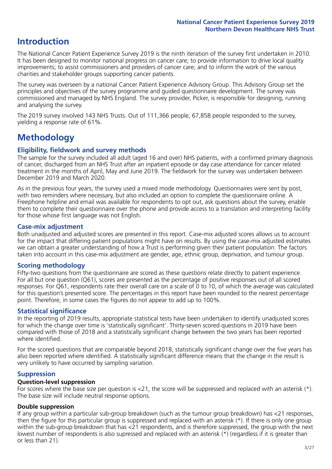# **Introduction**

The National Cancer Patient Experience Survey 2019 is the ninth iteration of the survey first undertaken in 2010. It has been designed to monitor national progress on cancer care; to provide information to drive local quality improvements; to assist commissioners and providers of cancer care; and to inform the work of the various charities and stakeholder groups supporting cancer patients.

The survey was overseen by a national Cancer Patient Experience Advisory Group. This Advisory Group set the principles and objectives of the survey programme and guided questionnaire development. The survey was commissioned and managed by NHS England. The survey provider, Picker, is responsible for designing, running and analysing the survey.

The 2019 survey involved 143 NHS Trusts. Out of 111,366 people, 67,858 people responded to the survey, yielding a response rate of 61%.

# **Methodology**

### **Eligibility, fieldwork and survey methods**

The sample for the survey included all adult (aged 16 and over) NHS patients, with a confirmed primary diagnosis of cancer, discharged from an NHS Trust after an inpatient episode or day case attendance for cancer related treatment in the months of April, May and June 2019. The fieldwork for the survey was undertaken between December 2019 and March 2020.

As in the previous four years, the survey used a mixed mode methodology. Questionnaires were sent by post, with two reminders where necessary, but also included an option to complete the questionnaire online. A Freephone helpline and email was available for respondents to opt out, ask questions about the survey, enable them to complete their questionnaire over the phone and provide access to a translation and interpreting facility for those whose first language was not English.

### **Case-mix adjustment**

Both unadjusted and adjusted scores are presented in this report. Case-mix adjusted scores allows us to account for the impact that differing patient populations might have on results. By using the case-mix adjusted estimates we can obtain a greater understanding of how a Trust is performing given their patient population. The factors taken into account in this case-mix adjustment are gender, age, ethnic group, deprivation, and tumour group.

### **Scoring methodology**

Fifty-two questions from the questionnaire are scored as these questions relate directly to patient experience. For all but one question (Q61), scores are presented as the percentage of positive responses out of all scored responses. For Q61, respondents rate their overall care on a scale of 0 to 10, of which the average was calculated for this question's presented score. The percentages in this report have been rounded to the nearest percentage point. Therefore, in some cases the figures do not appear to add up to 100%.

### **Statistical significance**

In the reporting of 2019 results, appropriate statistical tests have been undertaken to identify unadjusted scores for which the change over time is 'statistically significant'. Thirty-seven scored questions in 2019 have been compared with those of 2018 and a statistically significant change between the two years has been reported where identified.

For the scored questions that are comparable beyond 2018, statistically significant change over the five years has also been reported where identified. A statistically significant difference means that the change in the result is very unlikely to have occurred by sampling variation.

### **Suppression**

### **Question-level suppression**

For scores where the base size per question is  $<$ 21, the score will be suppressed and replaced with an asterisk (\*). The base size will include neutral response options.

### **Double suppression**

If any group within a particular sub-group breakdown (such as the tumour group breakdown) has <21 responses, then the figure for this particular group is suppressed and replaced with an asterisk (\*). If there is only one group within the sub-group breakdown that has <21 respondents, and is therefore suppressed, the group with the next lowest number of respondents is also supressed and replaced with an asterisk (\*) (regardless if it is greater than or less than 21).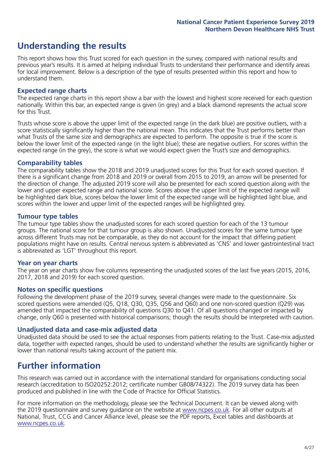# **Understanding the results**

This report shows how this Trust scored for each question in the survey, compared with national results and previous year's results. It is aimed at helping individual Trusts to understand their performance and identify areas for local improvement. Below is a description of the type of results presented within this report and how to understand them.

### **Expected range charts**

The expected range charts in this report show a bar with the lowest and highest score received for each question nationally. Within this bar, an expected range is given (in grey) and a black diamond represents the actual score for this Trust.

Trusts whose score is above the upper limit of the expected range (in the dark blue) are positive outliers, with a score statistically significantly higher than the national mean. This indicates that the Trust performs better than what Trusts of the same size and demographics are expected to perform. The opposite is true if the score is below the lower limit of the expected range (in the light blue); these are negative outliers. For scores within the expected range (in the grey), the score is what we would expect given the Trust's size and demographics.

### **Comparability tables**

The comparability tables show the 2018 and 2019 unadjusted scores for this Trust for each scored question. If there is a significant change from 2018 and 2019 or overall from 2015 to 2019, an arrow will be presented for the direction of change. The adjusted 2019 score will also be presented for each scored question along with the lower and upper expected range and national score. Scores above the upper limit of the expected range will be highlighted dark blue, scores below the lower limit of the expected range will be highlighted light blue, and scores within the lower and upper limit of the expected ranges will be highlighted grey.

### **Tumour type tables**

The tumour type tables show the unadjusted scores for each scored question for each of the 13 tumour groups. The national score for that tumour group is also shown. Unadjusted scores for the same tumour type across different Trusts may not be comparable, as they do not account for the impact that differing patient populations might have on results. Central nervous system is abbreviated as 'CNS' and lower gastrointestinal tract is abbreviated as 'LGT' throughout this report.

### **Year on year charts**

The year on year charts show five columns representing the unadjusted scores of the last five years (2015, 2016, 2017, 2018 and 2019) for each scored question.

### **Notes on specific questions**

Following the development phase of the 2019 survey, several changes were made to the questionnaire. Six scored questions were amended (Q5, Q18, Q30, Q35, Q56 and Q60) and one non-scored question (Q29) was amended that impacted the comparability of questions Q30 to Q41. Of all questions changed or impacted by change, only Q60 is presented with historical comparisons; though the results should be interpreted with caution.

### **Unadjusted data and case-mix adjusted data**

Unadjusted data should be used to see the actual responses from patients relating to the Trust. Case-mix adjusted data, together with expected ranges, should be used to understand whether the results are significantly higher or lower than national results taking account of the patient mix.

### **Further information**

This research was carried out in accordance with the international standard for organisations conducting social research (accreditation to ISO20252:2012; certificate number GB08/74322). The 2019 survey data has been produced and published in line with the Code of Practice for Official Statistics.

For more information on the methodology, please see the Technical Document. It can be viewed along with the 2019 questionnaire and survey quidance on the website at [www.ncpes.co.uk](https://www.ncpes.co.uk/supporting-documents). For all other outputs at National, Trust, CCG and Cancer Alliance level, please see the PDF reports, Excel tables and dashboards at [www.ncpes.co.uk.](https://www.ncpes.co.uk/current-results)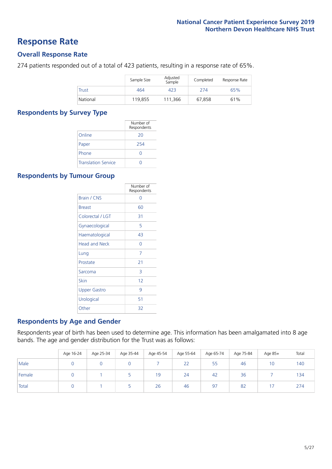### **Response Rate**

### **Overall Response Rate**

274 patients responded out of a total of 423 patients, resulting in a response rate of 65%.

|              | Sample Size | Adjusted<br>Sample | Completed | Response Rate |
|--------------|-------------|--------------------|-----------|---------------|
| <b>Trust</b> | 464         | 423                | 274       | 65%           |
| National     | 119,855     | 111.366            | 67.858    | 61%           |

### **Respondents by Survey Type**

|                            | Number of<br>Respondents |
|----------------------------|--------------------------|
| Online                     | 20                       |
| Paper                      | 254                      |
| Phone                      |                          |
| <b>Translation Service</b> |                          |

### **Respondents by Tumour Group**

|                      | Number of<br>Respondents |
|----------------------|--------------------------|
| <b>Brain / CNS</b>   | ∩                        |
| <b>Breast</b>        | 60                       |
| Colorectal / LGT     | 31                       |
| Gynaecological       | 5                        |
| Haematological       | 43                       |
| <b>Head and Neck</b> | Ω                        |
| Lung                 | 7                        |
| Prostate             | 21                       |
| Sarcoma              | 3                        |
| Skin                 | 12                       |
| Upper Gastro         | 9                        |
| Urological           | 51                       |
| Other                | 32                       |

### **Respondents by Age and Gender**

Respondents year of birth has been used to determine age. This information has been amalgamated into 8 age bands. The age and gender distribution for the Trust was as follows:

|        | Age 16-24 | Age 25-34 | Age 35-44 | Age 45-54 | Age 55-64 | Age 65-74 | Age 75-84 | Age 85+         | Total |
|--------|-----------|-----------|-----------|-----------|-----------|-----------|-----------|-----------------|-------|
| Male   |           |           |           |           | 22        | 55        | 46        | 10 <sup>°</sup> | 140   |
| Female |           |           |           | 19        | 24        | 42        | 36        |                 | 134   |
| Total  |           |           |           | 26        | 46        | 97        | 82        | 17              | 274   |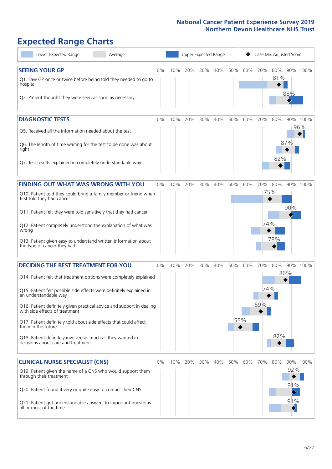# **Expected Range Charts**

| Lower Expected Range<br>Average                                                                                                                                                                                                                                                                                                                                                                                                                                                                                             |    |     | Upper Expected Range |     |     |     |            | Case Mix Adjusted Score |                   |                                      |                 |
|-----------------------------------------------------------------------------------------------------------------------------------------------------------------------------------------------------------------------------------------------------------------------------------------------------------------------------------------------------------------------------------------------------------------------------------------------------------------------------------------------------------------------------|----|-----|----------------------|-----|-----|-----|------------|-------------------------|-------------------|--------------------------------------|-----------------|
| <b>SEEING YOUR GP</b><br>Q1. Saw GP once or twice before being told they needed to go to<br>hospital<br>Q2. Patient thought they were seen as soon as necessary                                                                                                                                                                                                                                                                                                                                                             | 0% | 10% | 20%                  | 30% | 40% | 50% | 60%        | 70%                     | 80%<br>81%        | 88%                                  | 90% 100%        |
| <b>DIAGNOSTIC TESTS</b><br>Q5. Received all the information needed about the test<br>Q6. The length of time waiting for the test to be done was about<br>right<br>Q7. Test results explained in completely understandable way                                                                                                                                                                                                                                                                                               | 0% | 10% | 20%                  | 30% | 40% | 50% | 60%        | 70%                     | 80%<br>82%        | 87%                                  | 90% 100%<br>96% |
| FINDING OUT WHAT WAS WRONG WITH YOU<br>Q10. Patient told they could bring a family member or friend when<br>first told they had cancer<br>Q11. Patient felt they were told sensitively that they had cancer<br>Q12. Patient completely understood the explanation of what was<br>wrong<br>Q13. Patient given easy to understand written information about<br>the type of cancer they had                                                                                                                                    | 0% | 10% | 20%                  | 30% | 40% | 50% | 60%        | 70%<br>74%              | 80%<br>75%<br>78% | 90%                                  | 90% 100%        |
| <b>DECIDING THE BEST TREATMENT FOR YOU</b><br>Q14. Patient felt that treatment options were completely explained<br>Q15. Patient felt possible side effects were definitely explained in<br>an understandable way<br>Q16. Patient definitely given practical advice and support in dealing<br>with side effects of treatment<br>Q17. Patient definitely told about side effects that could affect<br>them in the future<br>Q18. Patient definitely involved as much as they wanted in<br>decisions about care and treatment | 0% | 10% | 20%                  | 30% | 40% | 50% | 60%<br>55% | 70%<br>74%<br>69%       | 80%<br>82%        | 86%                                  | 90% 100%        |
| <b>CLINICAL NURSE SPECIALIST (CNS)</b><br>Q19. Patient given the name of a CNS who would support them<br>through their treatment<br>Q20. Patient found it very or quite easy to contact their CNS<br>Q21. Patient got understandable answers to important questions<br>all or most of the time                                                                                                                                                                                                                              | 0% | 10% | 20%                  | 30% | 40% | 50% | 60%        | 70%                     | 80%               | 92%<br>91%<br>91%<br>$\blacklozenge$ | 90% 100%        |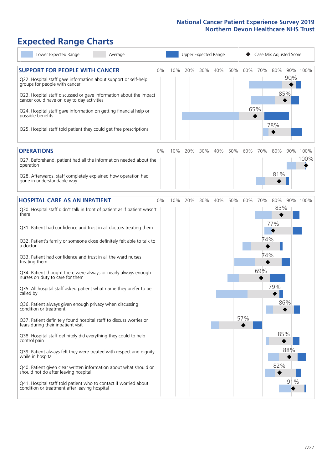# **Expected Range Charts**

| Lower Expected Range<br>Average                                                                                   |    |     |     |     | Upper Expected Range | Case Mix Adjusted Score |     |     |     |     |          |
|-------------------------------------------------------------------------------------------------------------------|----|-----|-----|-----|----------------------|-------------------------|-----|-----|-----|-----|----------|
| <b>SUPPORT FOR PEOPLE WITH CANCER</b>                                                                             | 0% | 10% | 20% | 30% | 40%                  | 50%                     | 60% | 70% | 80% | 90% | 90% 100% |
| Q22. Hospital staff gave information about support or self-help<br>groups for people with cancer                  |    |     |     |     |                      |                         |     |     |     |     |          |
| Q23. Hospital staff discussed or gave information about the impact<br>cancer could have on day to day activities  |    |     |     |     |                      |                         |     |     | 85% |     |          |
| Q24. Hospital staff gave information on getting financial help or<br>possible benefits                            |    |     |     |     |                      |                         |     | 65% |     |     |          |
| Q25. Hospital staff told patient they could get free prescriptions                                                |    |     |     |     |                      |                         |     |     | 78% |     |          |
| <b>OPERATIONS</b>                                                                                                 | 0% | 10% | 20% | 30% | 40%                  | 50%                     | 60% | 70% | 80% | 90% | 100%     |
| Q27. Beforehand, patient had all the information needed about the<br>operation                                    |    |     |     |     |                      |                         |     |     |     |     | 100%     |
| Q28. Afterwards, staff completely explained how operation had<br>gone in understandable way                       |    |     |     |     |                      |                         |     |     | 81% |     |          |
| <b>HOSPITAL CARE AS AN INPATIENT</b>                                                                              | 0% | 10% | 20% | 30% | 40%                  | 50%                     | 60% | 70% | 80% |     | 90% 100% |
| Q30. Hospital staff didn't talk in front of patient as if patient wasn't<br>there                                 |    |     |     |     |                      |                         |     |     | 83% |     |          |
| Q31. Patient had confidence and trust in all doctors treating them                                                |    |     |     |     |                      |                         |     |     | 77% |     |          |
| Q32. Patient's family or someone close definitely felt able to talk to<br>a doctor                                |    |     |     |     |                      |                         |     | 74% |     |     |          |
| Q33. Patient had confidence and trust in all the ward nurses<br>treating them                                     |    |     |     |     |                      |                         |     | 74% |     |     |          |
| Q34. Patient thought there were always or nearly always enough<br>nurses on duty to care for them                 |    |     |     |     |                      |                         |     | 69% |     |     |          |
| Q35. All hospital staff asked patient what name they prefer to be<br>called by                                    |    |     |     |     |                      |                         |     |     | 79% |     |          |
| Q36. Patient always given enough privacy when discussing<br>condition or treatment                                |    |     |     |     |                      |                         |     |     | 86% |     |          |
| Q37. Patient definitely found hospital staff to discuss worries or<br>fears during their inpatient visit          |    |     |     |     |                      |                         | 57% |     |     |     |          |
| Q38. Hospital staff definitely did everything they could to help<br>control pain                                  |    |     |     |     |                      |                         |     |     | 85% |     |          |
| Q39. Patient always felt they were treated with respect and dignity<br>while in hospital                          |    |     |     |     |                      |                         |     |     |     | 88% |          |
| Q40. Patient given clear written information about what should or<br>should not do after leaving hospital         |    |     |     |     |                      |                         |     |     | 82% |     |          |
| Q41. Hospital staff told patient who to contact if worried about<br>condition or treatment after leaving hospital |    |     |     |     |                      |                         |     |     |     | 91% |          |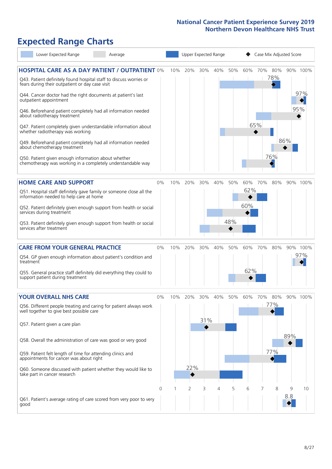# **Expected Range Charts**

| Lower Expected Range                                                                                                                                                           | Average |       |     |                |     | Upper Expected Range |     |     |     | Case Mix Adjusted Score |     |            |
|--------------------------------------------------------------------------------------------------------------------------------------------------------------------------------|---------|-------|-----|----------------|-----|----------------------|-----|-----|-----|-------------------------|-----|------------|
| <b>HOSPITAL CARE AS A DAY PATIENT / OUTPATIENT 0%</b><br>Q43. Patient definitely found hospital staff to discuss worries or<br>fears during their outpatient or day case visit |         |       | 10% | 20%            | 30% | 40%                  | 50% | 60% | 70% | 80%<br>78%              |     | 90% 100%   |
| Q44. Cancer doctor had the right documents at patient's last<br>outpatient appointment<br>Q46. Beforehand patient completely had all information needed                        |         |       |     |                |     |                      |     |     |     |                         |     | 97%<br>95% |
| about radiotherapy treatment<br>Q47. Patient completely given understandable information about<br>whether radiotherapy was working                                             |         |       |     |                |     |                      |     |     | 65% |                         |     |            |
| Q49. Beforehand patient completely had all information needed<br>about chemotherapy treatment                                                                                  |         |       |     |                |     |                      |     |     |     |                         | 86% |            |
| Q50. Patient given enough information about whether<br>chemotherapy was working in a completely understandable way                                                             |         |       |     |                |     |                      |     |     |     | 76%                     |     |            |
| <b>HOME CARE AND SUPPORT</b>                                                                                                                                                   |         | 0%    | 10% | 20%            | 30% | 40%                  | 50% | 60% | 70% | 80%                     |     | 90% 100%   |
| Q51. Hospital staff definitely gave family or someone close all the<br>information needed to help care at home                                                                 |         |       |     |                |     |                      |     | 62% |     |                         |     |            |
| Q52. Patient definitely given enough support from health or social<br>services during treatment                                                                                |         |       |     |                |     |                      |     | 60% |     |                         |     |            |
| Q53. Patient definitely given enough support from health or social<br>services after treatment                                                                                 |         |       |     |                |     |                      | 48% |     |     |                         |     |            |
| <b>CARE FROM YOUR GENERAL PRACTICE</b>                                                                                                                                         |         | 0%    | 10% | 20%            | 30% | 40%                  | 50% | 60% | 70% | 80%                     |     | 90% 100%   |
| Q54. GP given enough information about patient's condition and<br>treatment                                                                                                    |         |       |     |                |     |                      |     |     |     |                         |     | 97%        |
| Q55. General practice staff definitely did everything they could to<br>support patient during treatment                                                                        |         |       |     |                |     |                      |     | 62% |     |                         |     |            |
| <b>YOUR OVERALL NHS CARE</b>                                                                                                                                                   |         | $0\%$ | 10% | 20%            | 30% | 40%                  | 50% | 60% | 70% | 80%                     |     | 90% 100%   |
| Q56. Different people treating and caring for patient always work<br>well together to give best possible care                                                                  |         |       |     |                | 31% |                      |     |     |     | 77%                     |     |            |
| Q57. Patient given a care plan                                                                                                                                                 |         |       |     |                |     |                      |     |     |     |                         | 89% |            |
| Q58. Overall the administration of care was good or very good                                                                                                                  |         |       |     |                |     |                      |     |     |     | 77%                     |     |            |
| Q59. Patient felt length of time for attending clinics and<br>appointments for cancer was about right                                                                          |         |       |     | 22%            |     |                      |     |     |     |                         |     |            |
| Q60. Someone discussed with patient whether they would like to<br>take part in cancer research                                                                                 |         |       |     |                |     |                      |     |     |     |                         |     |            |
|                                                                                                                                                                                |         | 0     |     | $\overline{2}$ | 3   | 4                    | 5   | 6   | 7   | 8                       | 9   | 10         |
| Q61. Patient's average rating of care scored from very poor to very<br>good                                                                                                    |         |       |     |                |     |                      |     |     |     |                         | 8.8 |            |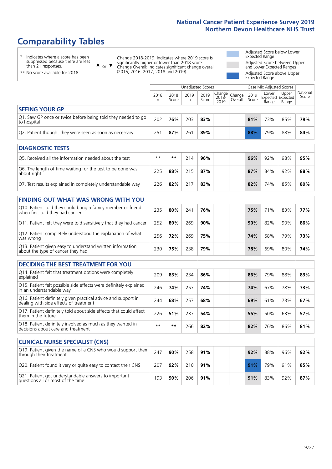# **Comparability Tables**

\* Indicates where a score has been suppressed because there are less than 21 responses.

\*\* No score available for 2018.

 $\triangle$  or  $\nabla$ 

Change 2018-2019: Indicates where 2019 score is significantly higher or lower than 2018 score Change Overall: Indicates significant change overall (2015, 2016, 2017, 2018 and 2019).

Adjusted Score below Lower Expected Range Adjusted Score between Upper and Lower Expected Ranges Adjusted Score above Upper Expected Range

|                                                                             |           |               | Unadjusted Scores |               | Case Mix Adjusted Scores                         |         |               |                |                                     |                   |
|-----------------------------------------------------------------------------|-----------|---------------|-------------------|---------------|--------------------------------------------------|---------|---------------|----------------|-------------------------------------|-------------------|
|                                                                             | 2018<br>n | 2018<br>Score | 2019<br>n         | 2019<br>Score | $\sqrt{(\text{Change})}$ Change<br>2018-<br>2019 | Overall | 2019<br>Score | Lower<br>Range | Upper<br>Expected Expected<br>Range | National<br>Score |
| <b>SEEING YOUR GP</b>                                                       |           |               |                   |               |                                                  |         |               |                |                                     |                   |
| Q1. Saw GP once or twice before being told they needed to go<br>to hospital | 202       | 76%           | 203               | 83%           |                                                  |         | 81%           | 73%            | 85%                                 | 79%               |
| Q2. Patient thought they were seen as soon as necessary                     | 25'       | 87%           | 261               | 89%           |                                                  |         | 88%           | 79%            | 88%                                 | 84%               |
| <b>DIAGNOSTIC TESTS</b>                                                     |           |               |                   |               |                                                  |         |               |                |                                     |                   |

| <b>PIASIVOJIIL ILJIJ</b>                                                  |      |     |     |     |  |     |     |     |     |
|---------------------------------------------------------------------------|------|-----|-----|-----|--|-----|-----|-----|-----|
| Q5. Received all the information needed about the test                    | $**$ | **  | 714 | 96% |  | 96% | 92% | 98% | 95% |
| Q6. The length of time waiting for the test to be done was<br>about right | 225  | 88% | 715 | 87% |  | 87% | 84% | 92% | 88% |
| Q7. Test results explained in completely understandable way               | 226  | 82% |     | 83% |  | 82% | 74% | 85% | 80% |

| <b>FINDING OUT WHAT WAS WRONG WITH YOU</b> |  |  |  |  |
|--------------------------------------------|--|--|--|--|
|                                            |  |  |  |  |

| Q10. Patient told they could bring a family member or friend<br>when first told they had cancer | 235 | 80% | 241 | 76% |  | 75% | 71 <sup>%</sup> | 83% | <b>77%</b> |
|-------------------------------------------------------------------------------------------------|-----|-----|-----|-----|--|-----|-----------------|-----|------------|
| Q11. Patient felt they were told sensitively that they had cancer                               | 252 | 89% | 269 | 90% |  | 90% | 82%             | 90% | 86%        |
| Q12. Patient completely understood the explanation of what<br>was wrong                         | 256 | 72% | 269 | 75% |  | 74% | 68%             | 79% | 73%        |
| Q13. Patient given easy to understand written information<br>about the type of cancer they had  | 230 | 75% | 238 | 79% |  | 78% | 69%             | 80% | 74%        |

| <b>DECIDING THE BEST TREATMENT FOR YOU</b> |  |  |  |
|--------------------------------------------|--|--|--|
|--------------------------------------------|--|--|--|

| Q14. Patient felt that treatment options were completely<br>explained                                   | 209  | 83% | 234 | 86% |  | 86% | 79% | 88% | 83% |
|---------------------------------------------------------------------------------------------------------|------|-----|-----|-----|--|-----|-----|-----|-----|
| Q15. Patient felt possible side effects were definitely explained<br>in an understandable way           | 246  | 74% | 257 | 74% |  | 74% | 67% | 78% | 73% |
| Q16. Patient definitely given practical advice and support in<br>dealing with side effects of treatment | 244  | 68% | 257 | 68% |  | 69% | 61% | 73% | 67% |
| Q17. Patient definitely told about side effects that could affect<br>them in the future                 | 226  | 51% | 237 | 54% |  | 55% | 50% | 63% | 57% |
| Q18. Patient definitely involved as much as they wanted in<br>decisions about care and treatment        | $**$ | **  | 266 | 82% |  | 82% | 76% | 86% | 81% |

| <b>CLINICAL NURSE SPECIALIST (CNS)</b>                                                    |     |     |     |     |     |     |     |     |
|-------------------------------------------------------------------------------------------|-----|-----|-----|-----|-----|-----|-----|-----|
| Q19. Patient given the name of a CNS who would support them<br>through their treatment    | 247 | 90% | 258 | 91% | 92% | 88% | 96% | 92% |
| Q20. Patient found it very or quite easy to contact their CNS                             | 207 | 92% | 210 | 91% | 91% | 79% | 91% | 85% |
| Q21. Patient got understandable answers to important<br>questions all or most of the time | 193 | 90% | 206 | 91% | 91% | 83% | 92% | 87% |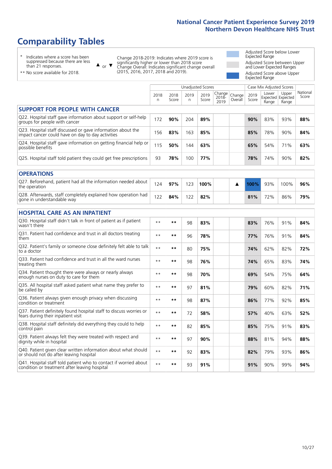# **Comparability Tables**

\* Indicates where a score has been suppressed because there are less than 21 responses.

\*\* No score available for 2018.

 $\triangle$  or  $\nabla$ 

Change 2018-2019: Indicates where 2019 score is significantly higher or lower than 2018 score Change Overall: Indicates significant change overall (2015, 2016, 2017, 2018 and 2019).

Adjusted Score below Lower Expected Range Adjusted Score between Upper and Lower Expected Ranges Adjusted Score above Upper Expected Range

|                                                                                                                   | <b>Unadjusted Scores</b> |               |           |               |                         |                   | Case Mix Adjusted Scores |                |                                     |                   |
|-------------------------------------------------------------------------------------------------------------------|--------------------------|---------------|-----------|---------------|-------------------------|-------------------|--------------------------|----------------|-------------------------------------|-------------------|
|                                                                                                                   | 2018<br>n                | 2018<br>Score | 2019<br>n | 2019<br>Score | Change<br>2018-<br>2019 | Change<br>Overall | 2019<br>Score            | Lower<br>Range | Upper<br>Expected Expected<br>Range | National<br>Score |
| <b>SUPPORT FOR PEOPLE WITH CANCER</b>                                                                             |                          |               |           |               |                         |                   |                          |                |                                     |                   |
| Q22. Hospital staff gave information about support or self-help<br>groups for people with cancer                  | 172                      | 90%           | 204       | 89%           |                         |                   | 90%                      | 83%            | 93%                                 | 88%               |
| Q23. Hospital staff discussed or gave information about the<br>impact cancer could have on day to day activities  | 156                      | 83%           | 163       | 85%           |                         |                   | 85%                      | 78%            | 90%                                 | 84%               |
| Q24. Hospital staff gave information on getting financial help or<br>possible benefits                            | 115                      | 50%           | 144       | 63%           |                         |                   | 65%                      | 54%            | 71%                                 | 63%               |
| Q25. Hospital staff told patient they could get free prescriptions                                                | 93                       | 78%           | 100       | 77%           |                         |                   | 78%                      | 74%            | 90%                                 | 82%               |
| <b>OPERATIONS</b>                                                                                                 |                          |               |           |               |                         |                   |                          |                |                                     |                   |
| Q27. Beforehand, patient had all the information needed about<br>the operation                                    | 124                      | 97%           | 123       | 100%          |                         | ▲                 | $100\%$                  | 93%            | 100%                                | 96%               |
| Q28. Afterwards, staff completely explained how operation had<br>gone in understandable way                       | 122                      | 84%           | 122       | 82%           |                         |                   | 81%                      | 72%            | 86%                                 | 79%               |
| <b>HOSPITAL CARE AS AN INPATIENT</b>                                                                              |                          |               |           |               |                         |                   |                          |                |                                     |                   |
| Q30. Hospital staff didn't talk in front of patient as if patient<br>wasn't there                                 | $\star\star$             | **            | 98        | 83%           |                         |                   | 83%                      | 76%            | 91%                                 | 84%               |
| Q31. Patient had confidence and trust in all doctors treating<br>them                                             | $\star\star$             | **            | 96        | 78%           |                         |                   | 77%                      | 76%            | 91%                                 | 84%               |
| Q32. Patient's family or someone close definitely felt able to talk<br>to a doctor                                | $**$                     | **            | 80        | 75%           |                         |                   | 74%                      | 62%            | 82%                                 | 72%               |
| Q33. Patient had confidence and trust in all the ward nurses<br>treating them                                     | $**$                     | **            | 98        | 76%           |                         |                   | 74%                      | 65%            | 83%                                 | 74%               |
| Q34. Patient thought there were always or nearly always<br>enough nurses on duty to care for them                 | $**$                     | **            | 98        | 70%           |                         |                   | 69%                      | 54%            | 75%                                 | 64%               |
| Q35. All hospital staff asked patient what name they prefer to<br>be called by                                    | $**$                     | **            | 97        | 81%           |                         |                   | 79%                      | 60%            | 82%                                 | 71%               |
| Q36. Patient always given enough privacy when discussing<br>condition or treatment                                | $**$                     | **            | 98        | 87%           |                         |                   | 86%                      | 77%            | 92%                                 | 85%               |
| Q37. Patient definitely found hospital staff to discuss worries or<br>fears during their inpatient visit          | $**$                     | **            | 72        | 58%           |                         |                   | 57%                      | 40%            | 63%                                 | 52%               |
| Q38. Hospital staff definitely did everything they could to help<br>control pain                                  | $***$                    | $***$         | 82        | 85%           |                         |                   | 85%                      | 75%            | 91%                                 | 83%               |
| Q39. Patient always felt they were treated with respect and<br>dignity while in hospital                          | $\star\star$             | **            | 97        | 90%           |                         |                   | 88%                      | 81%            | 94%                                 | 88%               |
| Q40. Patient given clear written information about what should<br>or should not do after leaving hospital         | $**$                     | **            | 92        | 83%           |                         |                   | 82%                      | 79%            | 93%                                 | 86%               |
| Q41. Hospital staff told patient who to contact if worried about<br>condition or treatment after leaving hospital | $**$                     | **            | 93        | 91%           |                         |                   | 91%                      | 90%            | 99%                                 | 94%               |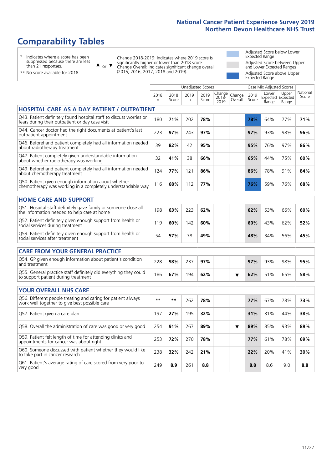# **Comparability Tables**

\* Indicates where a score has been suppressed because there are less than 21 responses.

\*\* No score available for 2018.

 $\triangle$  or  $\nabla$ 

Change 2018-2019: Indicates where 2019 score is significantly higher or lower than 2018 score Change Overall: Indicates significant change overall (2015, 2016, 2017, 2018 and 2019).

Adjusted Score below Lower Expected Range Adjusted Score between Upper and Lower Expected Ranges Adjusted Score above Upper Expected Range

|                                                                                                                       | <b>Unadjusted Scores</b> |               |            |               |                         |                   | Case Mix Adjusted Scores |                                     |                |                   |
|-----------------------------------------------------------------------------------------------------------------------|--------------------------|---------------|------------|---------------|-------------------------|-------------------|--------------------------|-------------------------------------|----------------|-------------------|
|                                                                                                                       | 2018<br>n                | 2018<br>Score | 2019<br>n. | 2019<br>Score | Change<br>2018-<br>2019 | Change<br>Overall | 2019<br>Score            | Lower<br>Expected Expected<br>Range | Upper<br>Range | National<br>Score |
| <b>HOSPITAL CARE AS A DAY PATIENT / OUTPATIENT</b>                                                                    |                          |               |            |               |                         |                   |                          |                                     |                |                   |
| Q43. Patient definitely found hospital staff to discuss worries or<br>fears during their outpatient or day case visit | 180                      | 71%           | 202        | 78%           |                         |                   | 78%                      | 64%                                 | 77%            | 71%               |
| Q44. Cancer doctor had the right documents at patient's last<br>outpatient appointment                                | 223                      | 97%           | 243        | 97%           |                         |                   | 97%                      | 93%                                 | 98%            | 96%               |
| Q46. Beforehand patient completely had all information needed<br>about radiotherapy treatment                         | 39                       | 82%           | 42         | 95%           |                         |                   | 95%                      | 76%                                 | 97%            | 86%               |
| Q47. Patient completely given understandable information<br>about whether radiotherapy was working                    | 32                       | 41%           | 38         | 66%           |                         |                   | 65%                      | 44%                                 | 75%            | 60%               |
| Q49. Beforehand patient completely had all information needed<br>about chemotherapy treatment                         | 124                      | 77%           | 121        | 86%           |                         |                   | 86%                      | 78%                                 | 91%            | 84%               |
| Q50. Patient given enough information about whether<br>chemotherapy was working in a completely understandable way    | 116                      | 68%           | 112        | 77%           |                         |                   | 76%                      | 59%                                 | 76%            | 68%               |
| <b>HOME CARE AND SUPPORT</b>                                                                                          |                          |               |            |               |                         |                   |                          |                                     |                |                   |
| Q51. Hospital staff definitely gave family or someone close all<br>the information needed to help care at home        | 198                      | 63%           | 223        | 62%           |                         |                   | 62%                      | 53%                                 | 66%            | 60%               |
| Q52. Patient definitely given enough support from health or<br>social services during treatment                       | 119                      | 60%           | 142        | 60%           |                         |                   | 60%                      | 43%                                 | 62%            | 52%               |
| Q53. Patient definitely given enough support from health or<br>social services after treatment                        | 54                       | 57%           | 78         | 49%           |                         |                   | 48%                      | 34%                                 | 56%            | 45%               |
| CARE FROM YOUR GENERAL PRACTICE                                                                                       |                          |               |            |               |                         |                   |                          |                                     |                |                   |
| Q54. GP given enough information about patient's condition<br>and treatment                                           | 228                      | 98%           | 237        | 97%           |                         |                   | 97%                      | 93%                                 | 98%            | 95%               |
| Q55. General practice staff definitely did everything they could<br>to support patient during treatment               | 186                      | 67%           | 194        | 62%           |                         | ▼                 | 62%                      | 51%                                 | 65%            | 58%               |
| <b>YOUR OVERALL NHS CARE</b>                                                                                          |                          |               |            |               |                         |                   |                          |                                     |                |                   |
| Q56. Different people treating and caring for patient always                                                          | $\star\star$             | $***$         |            |               |                         |                   |                          |                                     |                |                   |
| work well together to give best possible care                                                                         |                          |               | 262        | 78%           |                         |                   | 77%                      | 67%                                 | 78%            | 73%               |
| Q57. Patient given a care plan                                                                                        | 197                      | 27%           | 195        | 32%           |                         |                   | 31%                      | 31%                                 | 44%            | 38%               |
| Q58. Overall the administration of care was good or very good                                                         | 254                      | 91%           | 267        | 89%           |                         | ▼                 | 89%                      | 85%                                 | 93%            | 89%               |
| Q59. Patient felt length of time for attending clinics and<br>appointments for cancer was about right                 | 253                      | 72%           | 270        | 78%           |                         |                   | 77%                      | 61%                                 | 78%            | 69%               |
| Q60. Someone discussed with patient whether they would like<br>to take part in cancer research                        | 238                      | 32%           | 242        | 21%           |                         |                   | 22%                      | 20%                                 | 41%            | 30%               |
| Q61. Patient's average rating of care scored from very poor to<br>very good                                           | 249                      | 8.9           | 261        | 8.8           |                         |                   | 8.8                      | 8.6                                 | 9.0            | 8.8               |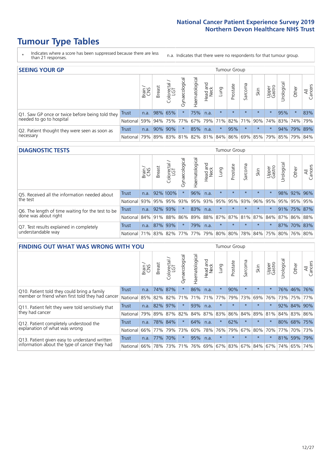# **Tumour Type Tables**

- \* Indicates where a score has been suppressed because there are less than 21 responses.
- n.a. Indicates that there were no respondents for that tumour group.

| <b>SEEING YOUR GP</b>                                      |          |       |               |                   |                   |                |                  |                             | Tumour Group |         |                                                         |                 |            |             |                |
|------------------------------------------------------------|----------|-------|---------------|-------------------|-------------------|----------------|------------------|-----------------------------|--------------|---------|---------------------------------------------------------|-----------------|------------|-------------|----------------|
|                                                            |          | Brain | <b>Breast</b> | Colorectal<br>LGT | ত<br>Gynaecologic | Haematological | Head and<br>Neck | <b>Lung</b>                 | Prostate     | Sarcoma | Skin                                                    | Upper<br>Gastro | Urological | Other       | All<br>Cancers |
| Q1. Saw GP once or twice before being told they            | Trust    | n.a.  |               | 98% 65%           |                   | 75%            | n.a.             | $\star$                     | $\star$      | $\star$ | $\star$                                                 | $\star$         | 95%        | $\star$     | 83%            |
| needed to go to hospital                                   | National | 59%   |               | 94% 75% 77%       |                   |                |                  | 67%   79%   71%   82%   71% |              |         | 90% 74% 83% 74% 79%                                     |                 |            |             |                |
| Q2. Patient thought they were seen as soon as<br>necessary | Trust    | n.a.  |               | 90% 90%           | $\star$           | 85%            | n.a.             | $\star$                     | 95%          | $\star$ | $\star$                                                 | $\star$         |            | 94% 79% 89% |                |
|                                                            | National |       |               |                   |                   |                |                  |                             |              |         | 79% 89% 83% 81% 82% 81% 84% 86% 69% 85% 79% 85% 79% 84% |                 |            |             |                |

### **DIAGNOSTIC TESTS** Tumour Group

|                                                   |                                                                  | Brain | <b>Breast</b> | Colorectal<br>LGT | $\overline{\sigma}$<br>Gynaecologic | Haematological | Head and<br>Neck | Lung        | Prostate | Sarcoma | Skin    | Upper<br>Gastro | Irological                                  | Other          | All<br>Cancers |
|---------------------------------------------------|------------------------------------------------------------------|-------|---------------|-------------------|-------------------------------------|----------------|------------------|-------------|----------|---------|---------|-----------------|---------------------------------------------|----------------|----------------|
| Q5. Received all the information needed about     | <b>Trust</b>                                                     | n.a.  |               | 92% 100%          |                                     | 96%            | n.a.             |             | $\star$  | $\star$ | $\star$ | $\star$         |                                             | 98% 92% 96%    |                |
| the test                                          | National                                                         | 93%   | 95%           | 95%               | 93%                                 |                |                  | 95% 93% 95% | 95%      | 93%     | 96%     | 95%             | 95%                                         |                | 95% 95%        |
| Q6. The length of time waiting for the test to be | Trust                                                            | n.a.  |               | 92% 93%           | $\star$                             | 83%            | n.a.             | $\star$     | $\star$  | $\star$ | $\star$ | $\star$         |                                             | $91\%$ 75% 87% |                |
| done was about right                              | National 84% 91% 88%                                             |       |               |                   |                                     |                |                  |             |          |         |         |                 | 86% 89% 88% 87% 87% 81% 87% 84% 87% 86% 88% |                |                |
| Q7. Test results explained in completely          | <b>Trust</b>                                                     | n.a.  |               | 87% 93%           |                                     | 79%            | n.a.             | $\star$     | $\star$  | $\star$ | $\star$ | $\star$         |                                             | 87% 70% 83%    |                |
| understandable way                                | National 71% 83% 82% 77% 77% 79% 80% 80% 78% 84% 75% 80% 76% 80% |       |               |                   |                                     |                |                  |             |          |         |         |                 |                                             |                |                |

| <b>FINDING OUT WHAT WAS WRONG WITH YOU</b>                                                      |              |       |               |                                 |                |                |                        |         | Tumour Group |         |                                                     |                 |            |             |                |
|-------------------------------------------------------------------------------------------------|--------------|-------|---------------|---------------------------------|----------------|----------------|------------------------|---------|--------------|---------|-----------------------------------------------------|-----------------|------------|-------------|----------------|
|                                                                                                 |              | Brain | <b>Breast</b> | ╮<br>olorectal<br>LGT<br>$\cup$ | Gynaecological | Haematological | ad and<br>Neck<br>Head | Lung    | Prostate     | Sarcoma | Skin                                                | Upper<br>Gastro | Jrological | Other       | All<br>Cancers |
| Q10. Patient told they could bring a family<br>member or friend when first told they had cancer | <b>Trust</b> | n.a.  | 74%           | 87%                             | $\star$        | 86%            | n.a.                   | $\star$ | 90%          | $\star$ | $\star$                                             | $\star$         | 76%        | 46%         | 76%            |
|                                                                                                 | National     | 85%   | 82%           | 82%                             | 71%            | 71%            | 71%                    | 77%     | 79%          | 73%     | 69%                                                 | 76%             |            | 73% 75%     | 77%            |
| Q11. Patient felt they were told sensitively that                                               | Trust        | n.a.  | 82%           | 97%                             | $\star$        | 93%            | n.a.                   | $\star$ | $\star$      | $\star$ | $\star$                                             | $\star$         | 92%        | 84%         | 90%            |
| they had cancer                                                                                 | National     | 79%   | 89%           | 87%                             | 82%            | 84%            | 87%                    | 83%     | 86%          | 84%     | 89%                                                 | 81%             |            | 84% 83%     | 86%            |
| Q12. Patient completely understood the                                                          | Trust        | n.a.  |               | 78% 84%                         | $\star$        | 64%            | n.a.                   | $\star$ | 62%          | $\star$ | $\star$                                             | $\star$         |            | 80% 68% 75% |                |
| explanation of what was wrong                                                                   | National     | 66%   | 77%           | 79%                             | 73%            | 60%            | 78%                    | 76%     | 79%          | 67%     | 80%                                                 | 70%             |            | 77% 70%     | 73%            |
| Q13. Patient given easy to understand written                                                   | Trust        | n.a.  | 77%           | 70%                             | $\star$        | 95%            | n.a.                   | $\star$ | $\star$      | $\star$ | $\star$                                             | $\star$         | 81%        | 59%         | 79%            |
| information about the type of cancer they had                                                   | National     | 66%   |               |                                 |                |                |                        |         |              |         | 78% 73% 71% 76% 69% 67% 83% 67% 84% 67% 74% 65% 74% |                 |            |             |                |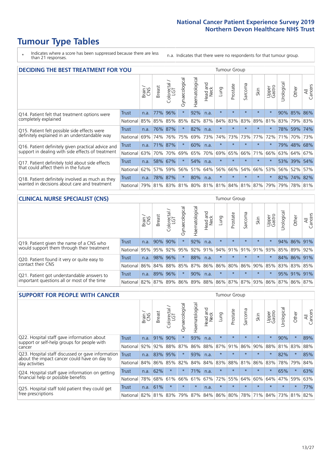# **Tumour Type Tables**

\* Indicates where a score has been suppressed because there are less than 21 responses.

n.a. Indicates that there were no respondents for that tumour group.

| <b>DECIDING THE BEST TREATMENT FOR YOU</b>         |              |       |               |                             |                |                |                        |                                     | <b>Tumour Group</b> |         |         |                 |            |             |                |
|----------------------------------------------------|--------------|-------|---------------|-----------------------------|----------------|----------------|------------------------|-------------------------------------|---------------------|---------|---------|-----------------|------------|-------------|----------------|
|                                                    |              | Brain | <b>Breast</b> | blorectal.<br>LGT<br>$\cup$ | Gynaecological | Haematological | ad and<br>Neck<br>Head | Lung                                | Prostate            | Sarcoma | Skin    | Upper<br>Gastro | Jrological | Other       | All<br>Cancers |
| Q14. Patient felt that treatment options were      | <b>Trust</b> | n.a.  | 77%           | 96%                         | $\star$        | 92%            | n.a.                   | $\star$                             | $\star$             | $\star$ | $\star$ | $\star$         |            | 90% 85%     | 86%            |
| completely explained                               | National     | 85%   | 85%           | 85%                         | 85%            | 82%            | 87%                    | 84%                                 | 83%                 | 83%     | 89%     | 81%             |            | 83% 79% 83% |                |
| Q15. Patient felt possible side effects were       | Trust        | n.a.  | 76%           | 87%                         | $\star$        | 82%            | n.a.                   | $\star$                             | $\star$             | 大       | $\star$ | $\star$         |            | 78% 59%     | 74%            |
| definitely explained in an understandable way      | National     | 69%   | 74%           | 76%                         | 75%            | 69%            | 73%                    | 74%                                 | 73%                 | 73%     | 77%     | 72%             | 71%        | 70%         | 73%            |
| Q16. Patient definitely given practical advice and | Trust        | n.a.  | 71%           | 87%                         | $\star$        | 60%            | n.a.                   | $\star$                             | $\star$             | $\star$ | $\star$ | $\star$         |            | 79% 48%     | 68%            |
| support in dealing with side effects of treatment  | National     | 63%   | 70%           | 70%                         | 69%            | 65%            | 70%                    | 69%                                 | 65%                 | 66%     | 71%     | 66%             | 63%        | 64%         | 67%            |
| Q17. Patient definitely told about side effects    | Trust        | n.a.  | 58%           | 67%                         |                | 54%            | n.a.                   | $\star$                             | $\star$             | $\star$ | $\star$ | $\star$         |            | 53% 39%     | 54%            |
| that could affect them in the future               | National     | 62%   | 57%           | 59%                         | 56%            | 51%            | 64%                    | 56%                                 | 66%                 | 54%     | 66%     | 53%             |            | 56% 52%     | 57%            |
| Q18. Patient definitely involved as much as they   | Trust        | n.a.  | 78%           | 87%                         | $\star$        | 80%            | n.a.                   | $\star$                             | $\star$             | $\star$ | $\star$ | $\star$         |            | 82% 74% 82% |                |
| wanted in decisions about care and treatment       | National     | 79%   |               |                             |                |                |                        | 81% 83% 81% 80% 81% 81% 84% 81% 87% |                     |         |         | 79%             |            | 79% 78% 81% |                |

### **CLINICAL NURSE SPECIALIST (CNS)** Tumour Group

|                                             |              | Brain           | <b>Breast</b>   | Colorectal<br>LGT | Gynaecologica | aematological | Head and<br>Neck | Lung        | Prostate | Sarcoma | Skin    | Upper<br>Gastro                               | rological | Other       | All<br>Cancers |
|---------------------------------------------|--------------|-----------------|-----------------|-------------------|---------------|---------------|------------------|-------------|----------|---------|---------|-----------------------------------------------|-----------|-------------|----------------|
| Q19. Patient given the name of a CNS who    | <b>Trust</b> | n.a.            | 90% 90%         |                   |               | 92%           | n.a.             | $\star$     | $\star$  | $\star$ | $\star$ | $\star$                                       |           | 94% 86% 91% |                |
| would support them through their treatment  | National     | 95%             | 95%             | 92%               | 95%           | 92%           | 91%              | 94% 91%     |          | 91%     | 91%     | 93%                                           | 85%       | 89%         | 92%            |
| Q20. Patient found it very or quite easy to | Trust        | n.a.            | 98% 96%         |                   |               | 88%           | n.a.             | $\star$     | $\star$  | $\star$ | $\star$ | $\star$                                       |           | 84% 86%     | 91%            |
| contact their CNS                           | National     |                 | 86% 84% 88% 85% |                   |               | 87%           |                  | 86% 86% 80% |          |         |         | 86% 90% 85%                                   |           | 83% 83%     | 85%            |
| Q21. Patient got understandable answers to  | Trust        | n.a.            | 89%             | 96%               |               | 90%           | n.a.             | $\star$     | $\star$  | $\star$ | $\star$ | $\star$                                       |           | 95% 91%     | 91%            |
| important questions all or most of the time | National     | 82% 87% 89% 86% |                 |                   |               |               |                  |             |          |         |         | 89%   88%   86%   87%   87%   93%   86%   87% |           | 86% 87%     |                |

| <b>SUPPORT FOR PEOPLE WITH CANCER</b>                                                               |              |       |               |                        |                |                |                        |             | Tumour Group |         |         |                 |           |          |                |
|-----------------------------------------------------------------------------------------------------|--------------|-------|---------------|------------------------|----------------|----------------|------------------------|-------------|--------------|---------|---------|-----------------|-----------|----------|----------------|
|                                                                                                     |              | Brain | <b>Breast</b> | olorectal.<br>LGT<br>Ũ | Gynaecological | Haematological | ad and<br>Neck<br>Head | Lung        | Prostate     | Sarcoma | Skin    | Upper<br>Gastro | Jrologica | Other    | All<br>Cancers |
| Q22. Hospital staff gave information about<br>support or self-help groups for people with<br>cancer | <b>Trust</b> | n.a.  | 91%           | 90%                    | $\star$        | 93%            | n.a.                   | $\star$     | $\star$      | $\star$ | $\star$ | $\star$         | 90%       | $\ast$   | 89%            |
|                                                                                                     | National     | 92%   | 92%           | 88%                    | 87%            | 86%            | 88%                    | 87%         | 91%          | 86%     | 90%     | 88%             | 81%       | 83%      | 88%            |
| Q23. Hospital staff discussed or gave information<br>about the impact cancer could have on day to   | Trust        | n.a.  | 83%           | 95%                    | $\star$        | 93%            | n.a.                   | $\star$     | $\star$      | $\star$ | $\star$ | $\star$         | 82%       | $\star$  | 85%            |
| day activities                                                                                      | National     | 84%   | 86%           | 85%                    | 82%            | 84%            | 84%                    | 83%         | 88%          | 81%     | 86%     | 83%             | 78%       | 79%      | 84%            |
| Q24. Hospital staff gave information on getting                                                     | Trust        | n.a.  | 62%           | $\star$                | $\star$        | 71%            | n.a.                   | $\star$     | $\star$      | $\star$ | $\star$ | $\star$         | 65%       | $^\star$ | 63%            |
| financial help or possible benefits                                                                 | National     | 78%   | 68%           | 61%                    | 66%            | 61%            | 67%                    | 72%         | 55%          | 64%     | 60%     | 64%             | 47%       | 59%      | 63%            |
| Q25. Hospital staff told patient they could get                                                     | Trust        | n.a.  | 61%           | $\star$                | $\star$        | $\star$        | n.a.                   | $\star$     | $\star$      | $\star$ | $\star$ | $\star$         | $\star$   | $\ast$   | 77%            |
| free prescriptions                                                                                  | National I   | 82%   |               | 81% 83%                | 79%            | 87%            |                        | 84% 86% 80% |              | 78%     | 71%     | $84\%$          | 73%       | 81%      | 82%            |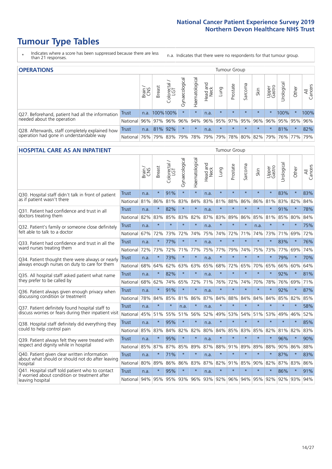# **Tumour Type Tables**

- \* Indicates where a score has been suppressed because there are less than 21 responses.
- n.a. Indicates that there were no respondents for that tumour group.

| <b>OPERATIONS</b><br>Tumour Group                                                           |          |       |               |                   |                |                       |                  |             |          |         |         |                 |                     |         |                |
|---------------------------------------------------------------------------------------------|----------|-------|---------------|-------------------|----------------|-----------------------|------------------|-------------|----------|---------|---------|-----------------|---------------------|---------|----------------|
|                                                                                             |          | Brain | <b>Breast</b> | Colorectal<br>LGT | Gynaecological | Haematological        | Head and<br>Neck | Lung        | Prostate | Sarcoma | Skin    | Upper<br>Gastro | Urological          | Other   | All<br>Cancers |
| Q27. Beforehand, patient had all the information                                            | Trust    |       | n.a. 100%100% |                   |                | $\star$               | n.a.             | $\star$     | $\star$  | $\star$ | $\star$ |                 | 100%                | $\star$ | 100%           |
| needed about the operation                                                                  | National |       | 96% 97%       | 96%               | 96%            | 94%                   |                  | 96% 95% 97% |          | 95%     | 96%     | 96%             | 95% 95%             |         | 96%            |
| Q28. Afterwards, staff completely explained how<br>operation had gone in understandable way | Trust    | n.a.  | 81% 92%       |                   | $\star$        | $\star$               | n.a.             | $\star$     | $\star$  | $\star$ | $\star$ | $\star$         | 81%                 | $\star$ | 82%            |
|                                                                                             | National | 76%   |               | 79% 83%           | 79%            | 78%   79%   79%   78% |                  |             |          |         |         |                 | 80% 82% 79% 76% 77% |         | 79%            |

### **HOSPITAL CARE AS AN INPATIENT** Tumour Group

|                                                                                                                      |              | Brain | Breast  | $\overline{\phantom{0}}$<br>Colorectal /<br>LGT | Gynaecological | Haematological | Head and<br>Neck | Lung    | Prostate | Sarcoma | Skin        | Upper<br>Gastro | Urological | Other   | All<br>Cancers |
|----------------------------------------------------------------------------------------------------------------------|--------------|-------|---------|-------------------------------------------------|----------------|----------------|------------------|---------|----------|---------|-------------|-----------------|------------|---------|----------------|
| Q30. Hospital staff didn't talk in front of patient                                                                  | <b>Trust</b> | n.a.  | $\star$ | 91%                                             | $\star$        | $\star$        | n.a.             | $\star$ | $\star$  | $\star$ | $\star$     | $\star$         | 83%        | $\star$ | 83%            |
| as if patient wasn't there                                                                                           | National     | 81%   | 86%     | 81%                                             | 83%            | 84%            | 83%              | 81%     | 88%      | 86%     | 86%         | 81%             | 83%        | 82%     | 84%            |
| Q31. Patient had confidence and trust in all                                                                         | <b>Trust</b> | n.a.  | $\star$ | 82%                                             |                | $\star$        | n.a.             | $\star$ | $\star$  | $\star$ | $\star$     |                 | 91%        | $\star$ | 78%            |
| doctors treating them                                                                                                | National     | 82%   | 83%     | 85%                                             | 83%            | 82%            |                  | 87% 83% | 89%      | 86%     | 85%         | 81%             | 85%        | 80%     | 84%            |
| Q32. Patient's family or someone close definitely<br>felt able to talk to a doctor                                   | <b>Trust</b> | n.a.  | $\star$ | $\star$                                         | $\star$        | $\star$        | n.a.             | $\star$ | $\star$  | $\star$ | n.a.        |                 | $\star$    | $\star$ | 75%            |
|                                                                                                                      | National     | 67%   | 72%     | 73%                                             | 72%            | 74%            | 75%              | 74%     | 72%      | 71%     | 74%         | 73%             | 71%        | 69%     | 72%            |
| Q33. Patient had confidence and trust in all the<br>ward nurses treating them                                        | <b>Trust</b> | n.a.  | $\star$ | 77%                                             | $\star$        | $\star$        | n.a.             | $\star$ | $\star$  | $\star$ | $\star$     | $\star$         | 83%        | $\star$ | 76%            |
|                                                                                                                      | National     | 72%   | 73%     | 72%                                             |                | 71% 77%        | 75%              | 77%     | 79%      | 74%     | 75%         | 73%             | 77%        | 69%     | 74%            |
| Q34. Patient thought there were always or nearly<br>always enough nurses on duty to care for them                    | <b>Trust</b> | n.a.  | $\star$ | 73%                                             | $\star$        | $\star$        | n.a.             | $\star$ | $\star$  | $\star$ | $\star$     | $\star$         | 79%        | $\star$ | 70%            |
|                                                                                                                      | National     | 68%   | 64%     | 62%                                             | 63%            | 63%            | 65%              | 68%     | 72%      | 65%     | 70%         | 65%             | 66%        | 60%     | 64%            |
| Q35. All hospital staff asked patient what name                                                                      | Trust        | n.a.  | $\star$ | 82%                                             | $\star$        | $\star$        | n.a.             | $\star$ | $\star$  | $\star$ | $\star$     | $\star$         | 92%        | $\star$ | 81%            |
| they prefer to be called by                                                                                          | National     | 68%   | 62%     | 74%                                             | 65%            | 72%            | 71%              | 76%     | 72%      | 74%     | 70%         | 78%             | 76%        | 69%     | 71%            |
| Q36. Patient always given enough privacy when                                                                        | Trust        | n.a.  | $\star$ | 91%                                             | $\star$        | $\star$        | n.a.             | $\star$ | $\star$  | $\star$ | $\star$     | $\star$         | 92%        | $\star$ | 87%            |
| discussing condition or treatment                                                                                    | National     | 78%   | 84%     | 85%                                             | 81%            | 86%            |                  | 87% 84% | 88%      | 84%     | 84%         | 84%             | 85%        | 82%     | 85%            |
| Q37. Patient definitely found hospital staff to                                                                      | <b>Trust</b> | n.a.  | $\star$ | $\star$                                         | n.a.           | $\star$        | n.a.             | $\star$ | $\star$  | $\star$ | $\star$     | $\star$         | $\star$    | $\star$ | 58%            |
| discuss worries or fears during their inpatient visit                                                                | National     | 45%   | 51%     | 55%                                             |                | 51% 56%        | 52%              | 49%     | 53%      | 54%     | 51%         | 53%             | 49%        | 46%     | 52%            |
| Q38. Hospital staff definitely did everything they                                                                   | Trust        | n.a.  | $\star$ | 95%                                             | $\star$        | $\star$        | n.a.             | $\star$ | $\star$  | $\star$ | $\star$     | $\star$         | $\star$    | $\star$ | 85%            |
| could to help control pain                                                                                           | National     | 85%   | 83%     | 84%                                             | 82%            | 82%            | 80%              | 84%     | 85%      | 83%     | 85%         | 82%             | 81%        | 82%     | 83%            |
| Q39. Patient always felt they were treated with                                                                      | Trust        | n.a.  | $\star$ | 95%                                             | $\star$        | $\star$        | n.a.             | $\star$ | $\star$  | $\star$ | $\star$     |                 | 96%        | $\star$ | 90%            |
| respect and dignity while in hospital                                                                                | National     | 85%   | 87%     | 87%                                             | 85%            | 89%            | 87%              | 88%     | 91%      | 89%     | 89%         | 88%             | 90%        | 86%     | 88%            |
| Q40. Patient given clear written information<br>about what should or should not do after leaving                     | <b>Trust</b> | n.a.  | $\ast$  | 71%                                             |                | $\star$        | n.a.             | $\star$ | $\star$  | $\star$ | $\star$     | $\star$         | 87%        | $\star$ | 83%            |
| hospital                                                                                                             | National     | 80%   | 89%     | 86%                                             | 86%            | 83%            |                  | 87% 82% | 91%      | 85%     | 90%         | 82%             | 87%        | 83%     | 86%            |
| Q41. Hospital staff told patient who to contact<br>if worried about condition or treatment after<br>leaving hospital | <b>Trust</b> | n.a.  | $\star$ | 95%                                             | $\star$        | $\star$        | n.a.             | $\star$ | $\star$  | $\star$ | $\star$     | $\star$         | 86%        | $\star$ | 91%            |
|                                                                                                                      | National     | 94%   | 95%     |                                                 |                | 95% 93% 96%    |                  | 93% 92% | 96%      |         | 94% 95% 92% |                 | 92%        | 93%     | 94%            |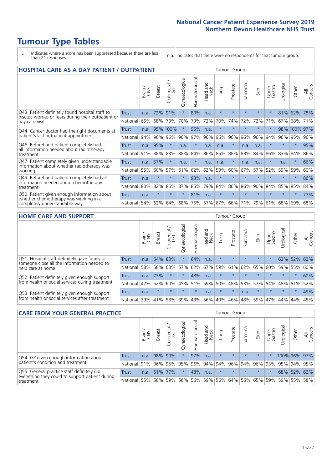# **Tumour Type Tables**

- \* Indicates where a score has been suppressed because there are less than 21 responses.
- n.a. Indicates that there were no respondents for that tumour group.

| <b>HOSPITAL CARE AS A DAY PATIENT / OUTPATIENT</b><br><b>Tumour Group</b>                                             |              |       |               |                         |                |                |                         |         |          |             |         |                 |            |              |                |
|-----------------------------------------------------------------------------------------------------------------------|--------------|-------|---------------|-------------------------|----------------|----------------|-------------------------|---------|----------|-------------|---------|-----------------|------------|--------------|----------------|
|                                                                                                                       |              | Brain | <b>Breast</b> | olorectal /<br>LGT<br>Ũ | Gynaecological | Haematological | ead and<br>Neck<br>Head | Lung    | Prostate | arcoma<br>S | Skin    | Upper<br>Gastro | Jrological | Other        | All<br>Cancers |
| Q43. Patient definitely found hospital staff to                                                                       | Trust        | n.a.  | 72%           | 91%                     | $\star$        | 80%            | n.a.                    | $\star$ | $\star$  | $\star$     | $\star$ | $\star$         | 81%        | 62%          | 78%            |
| discuss worries or fears during their outpatient or<br>day case visit                                                 | National     | 66%   | 68%           | 73%                     | 70%            | 73%            | 72%                     | 70%     | 74%      | 72%         | 72%     | 71%             | 67%        | 68%          | 71%            |
| Q44. Cancer doctor had the right documents at<br>patient's last outpatient appointment                                | Trust        | n.a.  | 95%           | 100%                    | $\star$        | 95%            | n.a.                    | $\star$ | $\star$  | $\star$     | $\star$ | $\star$         |            | 98% 100% 97% |                |
|                                                                                                                       | National     | 94%   | 96%           | 96%                     | 96%            | 97%            | 96%                     | 96%     | 96%      | 96%         | 96%     | 94%             | 96%        | 95%          | 96%            |
| Q46. Beforehand patient completely had                                                                                | Trust        | n.a.  | 95%           | $\star$                 | n.a.           | $\star$        | n.a.                    | n.a.    | $\star$  | n.a.        | n.a.    | $\star$         | $\star$    | $\star$      | 95%            |
| all information needed about radiotherapy<br>treatment                                                                | National     | 91%   | 88%           | 83%                     | 88%            | 84%            | 86%                     | 86%     | 88%      | 88%         | 84%     | 86%             | 83%        | 84%          | 86%            |
| Q47. Patient completely given understandable                                                                          | <b>Trust</b> | n.a.  | 57%           | $\star$                 | n.a.           | $\star$        | n.a.                    | n.a.    | $\star$  | n.a.        | n.a.    | $\star$         | n.a.       | $\star$      | 66%            |
| information about whether radiotherapy was<br>working                                                                 | National     | 56%   | 60%           | 57%                     | 61%            | 62%            | 63%                     | 59%     | 60%      | 67%         | 57%     | 52%             | 59%        | 59%          | 60%            |
| Q49. Beforehand patient completely had all                                                                            | Trust        | n.a.  | $\star$       | $\star$                 | $\star$        | 93%            | n.a.                    | $\star$ | $\star$  | $\star$     | $\star$ | $\star$         | $\star$    | $\star$      | 86%            |
| information needed about chemotherapy<br>treatment                                                                    | National     | 80%   | 82%           | 86%                     | 87%            | 85%            | 79%                     | 84%     | 86%      | 86%         | 90%     | 84%             | 85%        | 85%          | 84%            |
| Q50. Patient given enough information about<br>whether chemotherapy was working in a<br>completely understandable way | Trust        | n.a.  | $\star$       | $\star$                 |                | 81%            | n.a.                    | $\star$ | $\star$  | $\star$     |         |                 | $\star$    | $\star$      | 77%            |
|                                                                                                                       | National     | 54%   | 62%           | 64%                     | 68%            | 75%            |                         | 57% 67% | 66%      | 71%         | 79%     | 61%             | 68%        | 69%          | 68%            |

### **HOME CARE AND SUPPORT** Tumour Group

|                                                                                                 |              | Brain | Breast  | Colorectal<br>LGT | ᢛ<br>Gynaecologic | Haematological | Head and<br>Neck | <b>Dung</b>     | Prostate | Sarcoma | Skin    | Upper<br>Gastro | Urological | Other   | All<br>Cancers |
|-------------------------------------------------------------------------------------------------|--------------|-------|---------|-------------------|-------------------|----------------|------------------|-----------------|----------|---------|---------|-----------------|------------|---------|----------------|
| Q51. Hospital staff definitely gave family or<br>someone close all the information needed to    | <b>Trust</b> | n.a.  |         | 54% 83%           |                   | 64%            | n.a.             | $\star$         | $\star$  | $\star$ | $\star$ | $\star$         |            | 62% 52% | 62%            |
| help care at home                                                                               | National     | 58%   |         | 58% 63%           | 57%               |                |                  | 62% 67% 59% 61% |          |         | 62% 65% | 60%             | 59%        | 55%     | 60%            |
| Q52. Patient definitely given enough support<br>from health or social services during treatment | Trust        | n.a.  | 73%     |                   | $\star$           | 48%            | n.a.             | $\star$         | $\star$  |         |         | $\star$         | $\star$    | $\star$ | 60%            |
|                                                                                                 | National     | 42%   | 52%     | 60%               |                   | 45% 51%        | 59%              | 50%             | 48%      |         | 53% 57% | 54%             | 48% 51%    |         | 52%            |
| Q53. Patient definitely given enough support<br>from health or social services after treatment  | Trust        | n.a.  | $\star$ | $\star$           | $\star$           | $\star$        | n.a.             | $\star$         | $\star$  | n.a.    |         | $\star$         | $\star$    | $\star$ | 49%            |
|                                                                                                 | National     | 39%   |         | 41% 53%           | 39%               | $ 43\% $       | 56%              | 40%             | 46%      | 48%     | 59%     | 47%             | 44%        | 44%     | 45%            |

| <b>CARE FROM YOUR GENERAL PRACTICE</b>                                                                     |                      |        |               |                   |                |                | Tumour Group     |         |          |         |         |                 |                                         |              |                |
|------------------------------------------------------------------------------------------------------------|----------------------|--------|---------------|-------------------|----------------|----------------|------------------|---------|----------|---------|---------|-----------------|-----------------------------------------|--------------|----------------|
|                                                                                                            |                      | Brain, | <b>Breast</b> | Colorectal<br>LGT | Gynaecological | Haematological | Head and<br>Neck | Lung    | Prostate | Sarcoma | Skin    | Upper<br>Gastro | Urological                              | Other        | All<br>Cancers |
| Q54. GP given enough information about<br>patient's condition and treatment                                | Trust                | n.a.   |               | 98% 90%           | $\star$        | 97%            | n.a.             | $\star$ | $\star$  | $\star$ | $\star$ | $\star$         |                                         | 100% 96% 97% |                |
|                                                                                                            | National 91% 96% 95% |        |               |                   | 95%            |                |                  |         |          |         |         |                 | 96% 94% 94% 96% 94% 96% 93% 95% 94% 95% |              |                |
| Q55. General practice staff definitely did<br>everything they could to support patient during<br>treatment | Trust                | n.a.   |               | 61% 77%           | $\star$        | 48%            | n.a.             | $\star$ | $\star$  | $\star$ | $\star$ | $\star$         |                                         | 68% 52% 62%  |                |
|                                                                                                            | National             | 55%    |               | 58% 59%           | 56%            |                | 56% 59%          |         |          |         |         |                 | 56% 64% 56% 65% 59% 59% 55%             |              | 58%            |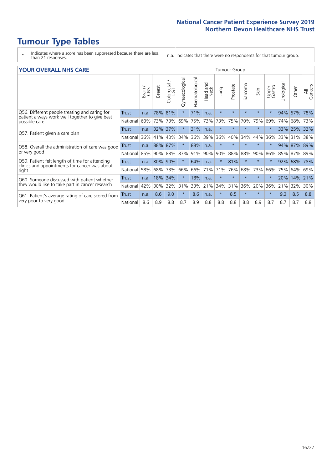# **Tumour Type Tables**

\* Indicates where a score has been suppressed because there are less than 21 responses.

n.a. Indicates that there were no respondents for that tumour group.

| <b>YOUR OVERALL NHS CARE</b>                                                                                     |              |       |               |                    |                |                |                            | Tumour Group |          |         |         |                 |            |       |                |  |  |
|------------------------------------------------------------------------------------------------------------------|--------------|-------|---------------|--------------------|----------------|----------------|----------------------------|--------------|----------|---------|---------|-----------------|------------|-------|----------------|--|--|
|                                                                                                                  |              | Brain | <b>Breast</b> | $Colored /$<br>LGT | Gynaecological | Haematological | and<br><b>Neck</b><br>Head | Lung         | Prostate | Sarcoma | Skin    | Upper<br>Gastro | Jrological | Other | All<br>Cancers |  |  |
| Q56. Different people treating and caring for<br>patient always work well together to give best<br>possible care | <b>Trust</b> | n.a.  | 78%           | 81%                |                | 71%            | n.a.                       | $\star$      | $\star$  | $\star$ | $\star$ | $\star$         | 94%        | 57%   | 78%            |  |  |
|                                                                                                                  | National     | 60%   | 73%           | 73%                | 69%            | 75%            | 73%                        | 73%          | 75%      | 70%     | 79%     | 69%             | 74%        | 68%   | 73%            |  |  |
| Q57. Patient given a care plan                                                                                   | Trust        | n.a.  | 32%           | 37%                | $\star$        | 31%            | n.a.                       | $\star$      | $\star$  | $\star$ | $\star$ | $\star$         | <b>33%</b> | 25%   | 32%            |  |  |
|                                                                                                                  | National     | 36%   | 41%           | 40%                | 34%            | 36%            | 39%                        | 36%          | 40%      | 34%     | 44%     | 36%             | 33%        | 31%   | 38%            |  |  |
| Q58. Overall the administration of care was good                                                                 | Trust        | n.a.  | 88%           | 87%                |                | 88%            | n.a.                       | $\star$      | $\star$  | $\star$ |         | $\star$         | 94%        | 87%   | 89%            |  |  |
| or very good                                                                                                     | National     | 85%   | 90%           | 88%                | 87%            | 91%            | 90%                        | 90%          | 88%      | 88%     | 90%     | 86%             | 85%        | 87%   | 89%            |  |  |
| Q59. Patient felt length of time for attending                                                                   | Trust        | n.a.  | 80%           | 90%                |                | 64%            | n.a.                       | $\star$      | 81%      | $\star$ |         | $\star$         | 92%        | 68%   | 78%            |  |  |
| clinics and appointments for cancer was about<br>right                                                           | National     | 58%   | 68%           | 73%                | 66%            | 66%            | 71%                        | 71%          | 76%      | 68%     | 73%     | 66%             | 75%        | 64%   | 69%            |  |  |
| Q60. Someone discussed with patient whether                                                                      | Trust        | n.a.  | 18%           | 34%                | $\star$        | 18%            | n.a.                       | $\star$      | $\star$  | $\star$ | $\star$ | $\star$         | 20%        | 14%   | 21%            |  |  |
| they would like to take part in cancer research                                                                  | National     | 42%   | 30%           | 32%                | 31%            | 33%            | 21%                        | 34%          | 31%      | 36%     | 20%     | 36%             | 21%        | 32%   | 30%            |  |  |
| Q61. Patient's average rating of care scored from<br>very poor to very good                                      | Trust        | n.a.  | 8.6           | 9.0                | $\star$        | 8.6            | n.a.                       | $\star$      | 8.5      | $\star$ | $\star$ | $\star$         | 9.3        | 8.5   | 8.8            |  |  |
|                                                                                                                  | National     | 8.6   | 8.9           | 8.8                | 8.7            | 8.9            | 8.8                        | 8.8          | 8.8      | 8.8     | 8.9     | 8.7             | 8.7        | 8.7   | 8.8            |  |  |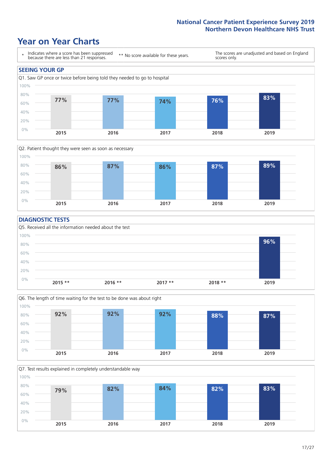### **Year on Year Charts**





### **DIAGNOSTIC TESTS**





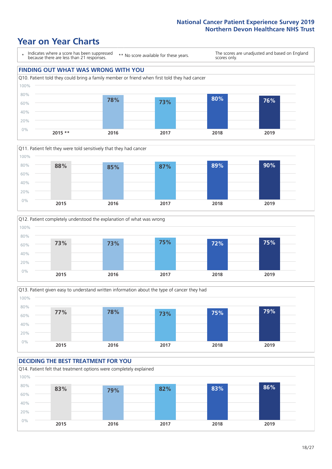







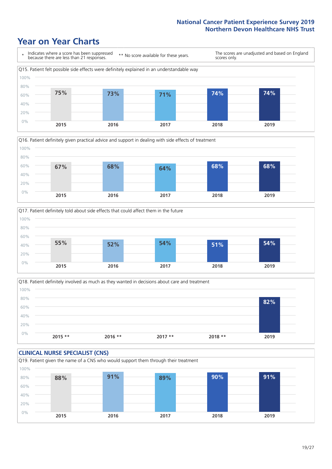





Q18. Patient definitely involved as much as they wanted in decisions about care and treatment  $0%$ 20% 40% 60% 80% 100% **2015 \*\* 2016 \*\* 2017 \*\* 2018 \*\* 2019 82%**

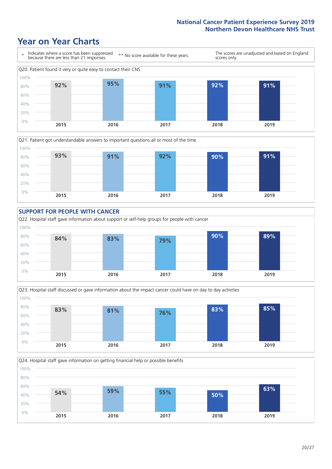









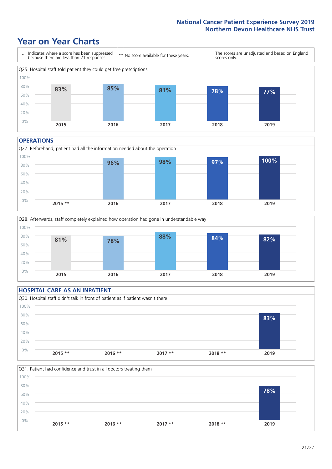### **Year on Year Charts**



#### **OPERATIONS**





### **HOSPITAL CARE AS AN INPATIENT** Q30. Hospital staff didn't talk in front of patient as if patient wasn't there 0% 20% 40% 60% 80% 100% **2015 \*\* 2016 \*\* 2017 \*\* 2018 \*\* 2019 83%**

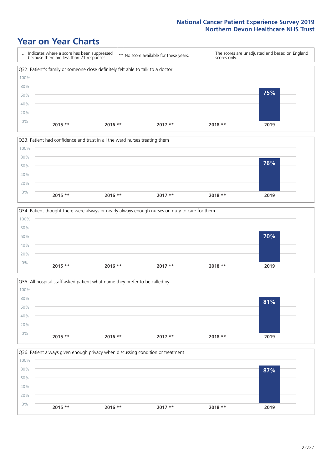







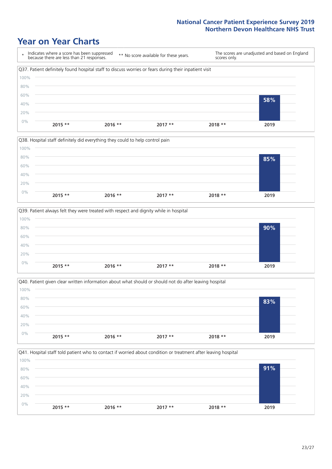







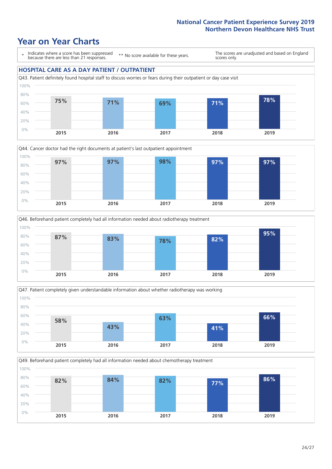### **Year on Year Charts**

\* Indicates where a score has been suppressed because there are less than 21 responses. \*\* No score available for these years. The scores are unadjusted and based on England scores only. **HOSPITAL CARE AS A DAY PATIENT / OUTPATIENT** Q43. Patient definitely found hospital staff to discuss worries or fears during their outpatient or day case visit 0% 20% 40% 60% 80% 100% **2015 2016 2017 2018 2019 75% 71% 69% 71% 78%**







Q49. Beforehand patient completely had all information needed about chemotherapy treatment 100%

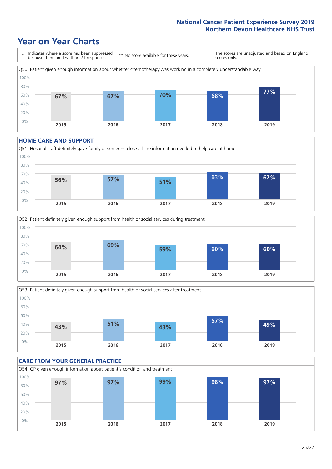### **Year on Year Charts**



#### **HOME CARE AND SUPPORT**







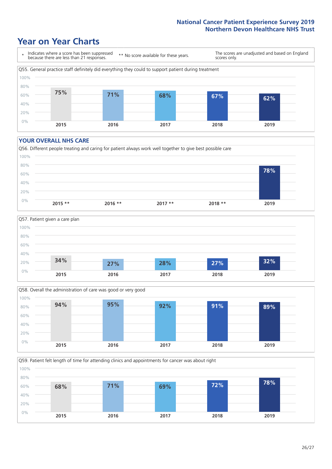### **Year on Year Charts**



#### **YOUR OVERALL NHS CARE**







Q59. Patient felt length of time for attending clinics and appointments for cancer was about right